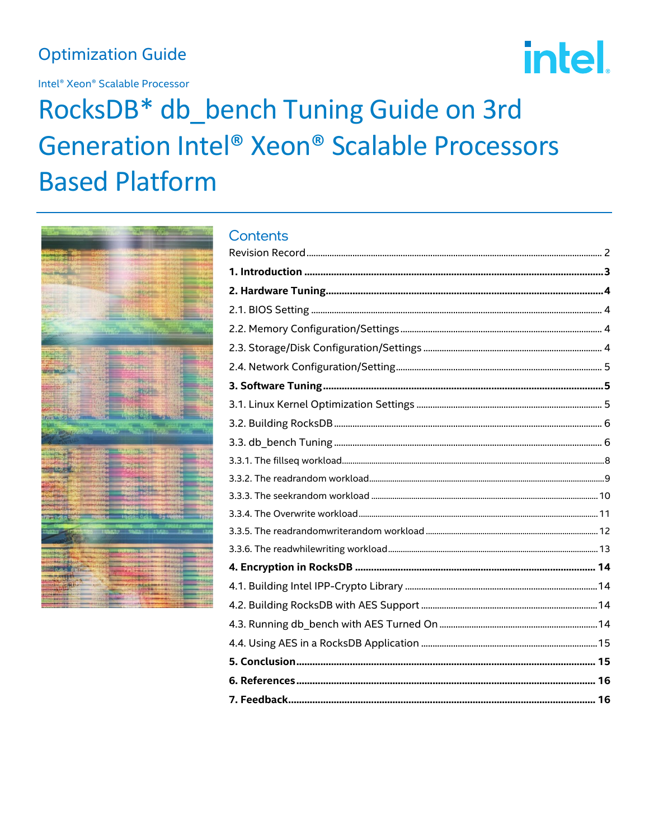# **Optimization Guide**

Intel® Xeon® Scalable Processor

# intel.

# RocksDB\* db\_bench Tuning Guide on 3rd Generation Intel® Xeon® Scalable Processors **Based Platform**



# **Contents**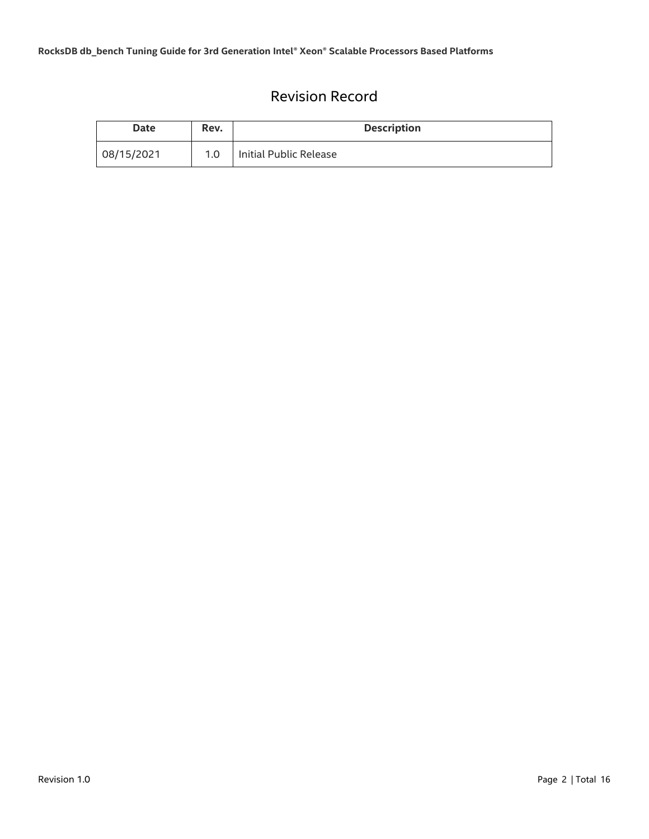# Revision Record

<span id="page-1-0"></span>

| Date       | Rev. | <b>Description</b>     |
|------------|------|------------------------|
| 08/15/2021 | 1.0  | Initial Public Release |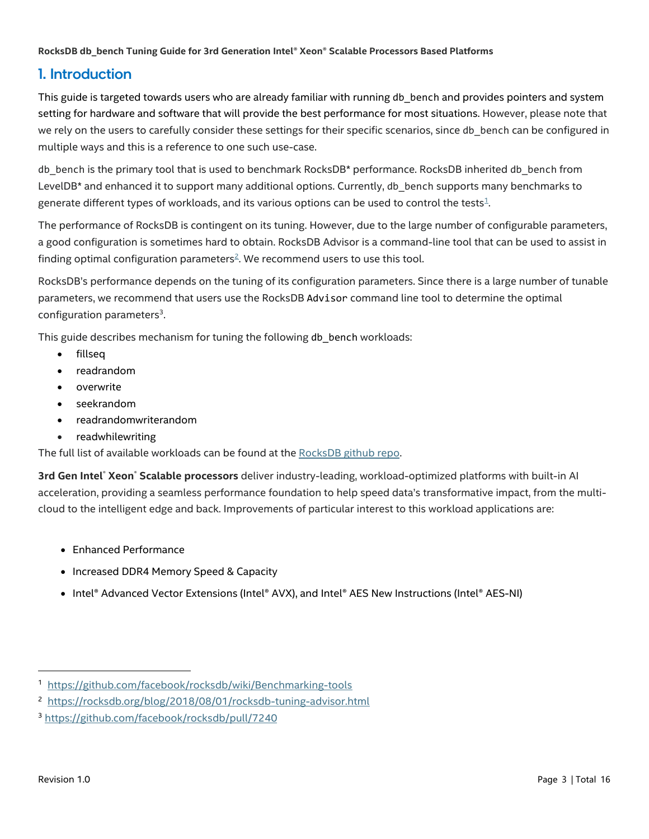# <span id="page-2-0"></span>1. Introduction

This guide is targeted towards users who are already familiar with running db\_bench and provides pointers and system setting for hardware and software that will provide the best performance for most situations. However, please note that we rely on the users to carefully consider these settings for their specific scenarios, since db bench can be configured in multiple ways and this is a reference to one such use-case.

db\_bench is the primary tool that is used to benchmark RocksDB\* performance. RocksDB inherited db\_bench from LevelDB\* and enhanced it to support many additional options. Currently, db\_bench supports many benchmarks to generate different types of workloads, and its various options can be used to control the tests $1$ .

The performance of RocksDB is contingent on its tuning. However, due to the large number of configurable parameters, a good configuration is sometimes hard to obtain. RocksDB Advisor is a command-line tool that can be used to assist in finding optimal configuration parameters<sup>2</sup>[.](#page-15-0) We recommend users to use this tool.

RocksDB's performance depends on the tuning of its configuration parameters. Since there is a large number of tunable parameters, we recommend that users use the RocksDB Advisor command line tool to determine the optimal configuration parameters<sup>3</sup>.

This guide describes mechanism for tuning the following db bench workloads:

- fillseq
- readrandom
- overwrite
- seekrandom
- readrandomwriterandom
- readwhilewriting

The full list of available workloads can be found at the [RocksDB github repo.](https://github.com/facebook/rocksdb/wiki/Benchmarking-tools)

**3rd Gen Intel**® **Xeon**® **Scalable processors** deliver industry-leading, workload-optimized platforms with built-in AI acceleration, providing a seamless performance foundation to help speed data's transformative impact, from the multicloud to the intelligent edge and back. Improvements of particular interest to this workload applications are:

- Enhanced Performance
- Increased DDR4 Memory Speed & Capacity
- Intel® Advanced Vector Extensions (Intel® AVX), and Intel® AES New Instructions (Intel® AES-NI)

<https://github.com/facebook/rocksdb/wiki/Benchmarking-tools>

<sup>2</sup> <https://rocksdb.org/blog/2018/08/01/rocksdb-tuning-advisor.html>

<sup>3</sup> <https://github.com/facebook/rocksdb/pull/7240>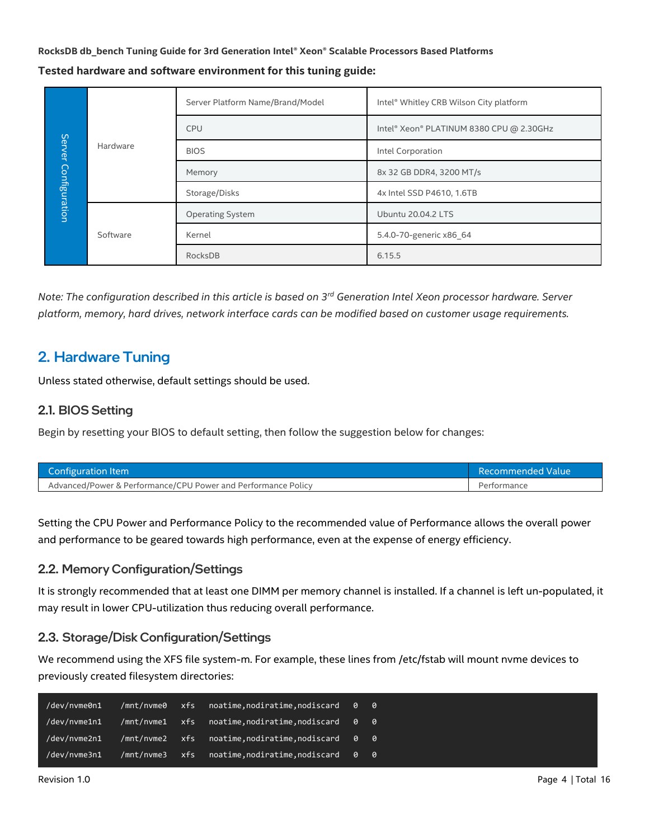**Tested hardware and software environment for this tuning guide:**

|  | Server Platform Name/Brand/Model    | Intel® Whitley CRB Wilson City platform |                                          |                         |  |
|--|-------------------------------------|-----------------------------------------|------------------------------------------|-------------------------|--|
|  |                                     | <b>CPU</b>                              | Intel® Xeon® PLATINUM 8380 CPU @ 2.30GHz |                         |  |
|  | Server<br>Hardware<br>Configuration | <b>BIOS</b>                             | Intel Corporation                        |                         |  |
|  |                                     | Memory                                  | 8x 32 GB DDR4, 3200 MT/s                 |                         |  |
|  |                                     | Storage/Disks                           | 4x Intel SSD P4610, 1.6TB                |                         |  |
|  |                                     | <b>Operating System</b>                 | Ubuntu 20.04.2 LTS                       |                         |  |
|  | Software                            | Kernel                                  |                                          | 5.4.0-70-generic x86 64 |  |
|  |                                     | RocksDB                                 | 6.15.5                                   |                         |  |

*Note: The configuration described in this article is based on 3 rd Generation Intel Xeon processor hardware. Server platform, memory, hard drives, network interface cards can be modified based on customer usage requirements.*

# <span id="page-3-0"></span>2. Hardware Tuning

Unless stated otherwise, default settings should be used.

#### <span id="page-3-1"></span>2.1. BIOS Setting

Begin by resetting your BIOS to default setting, then follow the suggestion below for changes:

| Configuration Item                                            | Recommended Value |
|---------------------------------------------------------------|-------------------|
| Advanced/Power & Performance/CPU Power and Performance Policy | Performance       |

Setting the CPU Power and Performance Policy to the recommended value of Performance allows the overall power and performance to be geared towards high performance, even at the expense of energy efficiency.

#### <span id="page-3-2"></span>2.2. Memory Configuration/Settings

It is strongly recommended that at least one DIMM per memory channel is installed. If a channel is left un-populated, it may result in lower CPU-utilization thus reducing overall performance.

#### <span id="page-3-3"></span>2.3. Storage/Disk Configuration/Settings

We recommend using the XFS file system-m. For example, these lines from /etc/fstab will mount nvme devices to previously created filesystem directories:

| /dev/nvme0n1 | /mnt/nvme0 | xfs | noatime, nodiratime, nodiscard 0 0 |  |
|--------------|------------|-----|------------------------------------|--|
| /dev/nvme1n1 | /mnt/nvme1 | xfs | noatime, nodiratime, nodiscard 0 0 |  |
| /dev/nvme2n1 | /mnt/nvme2 | xfs | noatime, nodiratime, nodiscard 0 0 |  |
| /dev/nvme3n1 | /mnt/nvme3 | xfs | noatime, nodiratime, nodiscard 0 0 |  |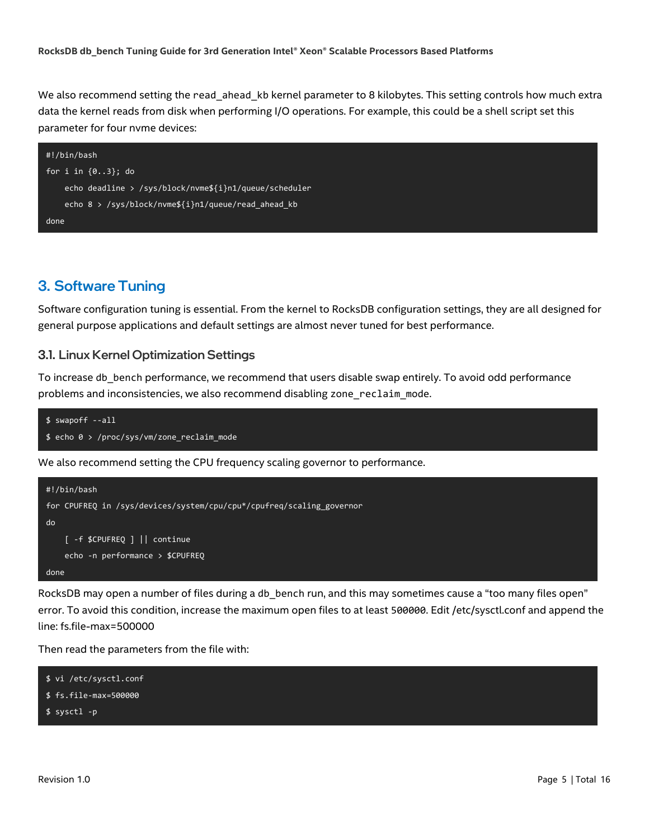We also recommend setting the read\_ahead\_kb kernel parameter to 8 kilobytes. This setting controls how much extra data the kernel reads from disk when performing I/O operations. For example, this could be a shell script set this parameter for four nvme devices:

<span id="page-4-0"></span>

# <span id="page-4-1"></span>3. Software Tuning

Software configuration tuning is essential. From the kernel to RocksDB configuration settings, they are all designed for general purpose applications and default settings are almost never tuned for best performance.

#### <span id="page-4-2"></span>3.1. Linux Kernel Optimization Settings

To increase db\_bench performance, we recommend that users disable swap entirely. To avoid odd performance problems and inconsistencies, we also recommend disabling zone reclaim mode.

```
lso recommend running the below script that sets CPU frequency scaling to the performance governor.
$ echo 0 > /proc/sys/vm/zone_reclaim_mode
 $ swapoff --all
```
We also recommend setting the CPU frequency scaling governor to performance.



RocksDB may open a number of files during a db\_bench run, and this may sometimes cause a "too many files open" error. To avoid this condition, increase the maximum open files to at least 500000. Edit /etc/sysctl.conf and append the line: fs.file-max=500000

Then read the parameters from the file with:

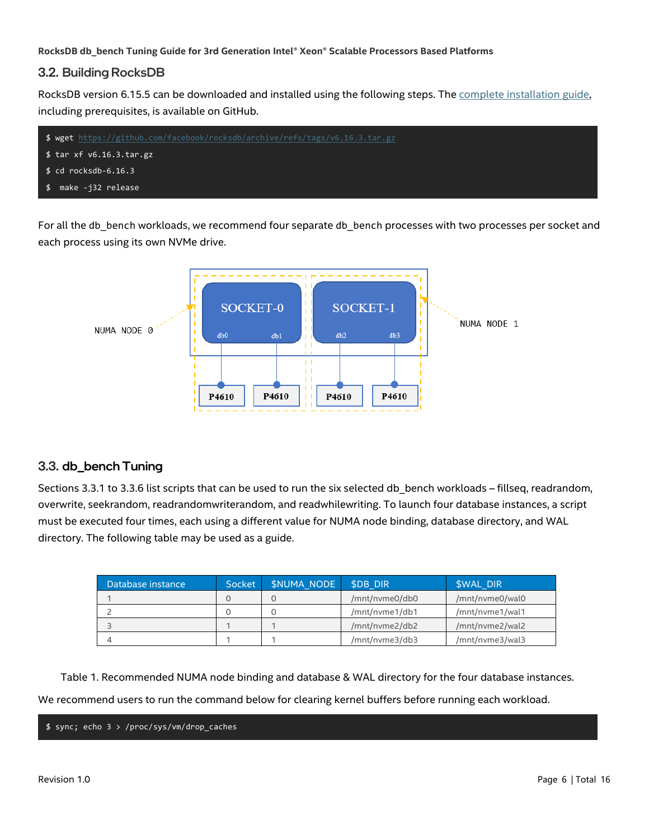#### <span id="page-5-0"></span>3.2. Building RocksDB

RocksDB version 6.15.5 can be downloaded and installed using the following steps. The [complete installation guide,](https://github.com/facebook/rocksdb/blob/master/INSTALL.md) including prerequisites, is available on GitHub.



For all the db bench workloads, we recommend four separate db bench processes with two processes per socket and each process using its own NVMe drive.



#### <span id="page-5-1"></span>3.3. db\_bench Tuning

Sections 3.3.1 to 3.3.6 list scripts that can be used to run the six selected db\_bench workloads – fillseq, readrandom, overwrite, seekrandom, readrandomwriterandom, and readwhilewriting. To launch four database instances, a script must be executed four times, each using a different value for NUMA node binding, database directory, and WAL directory. The following table may be used as a guide.

| Database instance | Socket | <b>SNUMA NODE</b> | <b>SDB DIR</b> | <b><i>SWAL DIR</i></b> |
|-------------------|--------|-------------------|----------------|------------------------|
|                   |        |                   | /mnt/nvme0/db0 | /mnt/nvme0/wal0        |
|                   |        |                   | /mnt/nvme1/db1 | /mnt/nvme1/wal1        |
|                   |        |                   | /mnt/nyme2/db2 | /mnt/nyme2/wal2        |
|                   |        |                   | /mnt/nvme3/db3 | /mnt/nvme3/wal3        |

Table 1. Recommended NUMA node binding and database & WAL directory for the four database instances.

We recommend users to run the command below for clearing kernel buffers before running each workload.

\$ sync; echo 3 > /proc/sys/vm/drop\_caches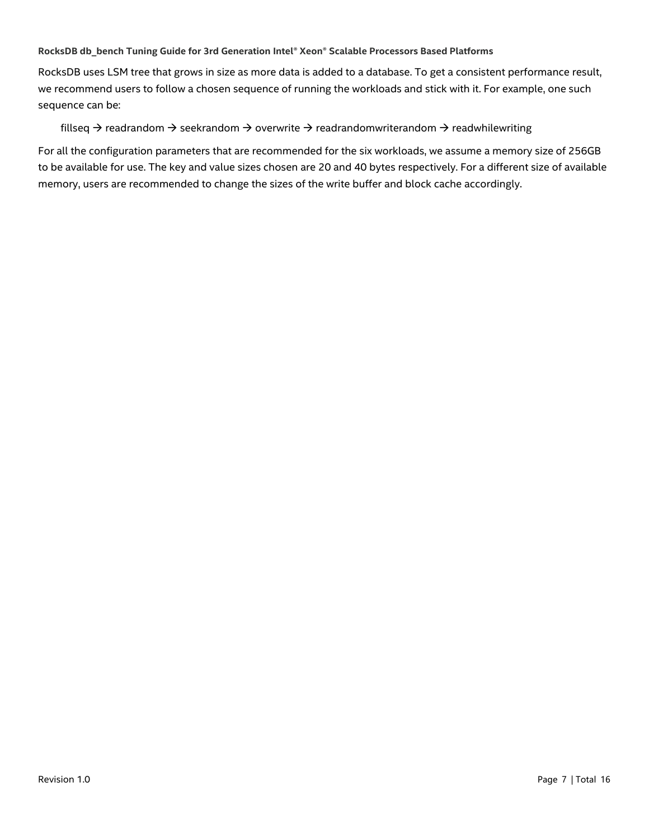RocksDB uses LSM tree that grows in size as more data is added to a database. To get a consistent performance result, we recommend users to follow a chosen sequence of running the workloads and stick with it. For example, one such sequence can be:

fillseq  $\rightarrow$  readrandom  $\rightarrow$  seekrandom  $\rightarrow$  overwrite  $\rightarrow$  readrandomwriterandom  $\rightarrow$  readwhilewriting

For all the configuration parameters that are recommended for the six workloads, we assume a memory size of 256GB to be available for use. The key and value sizes chosen are 20 and 40 bytes respectively. For a different size of available memory, users are recommended to change the sizes of the write buffer and block cache accordingly.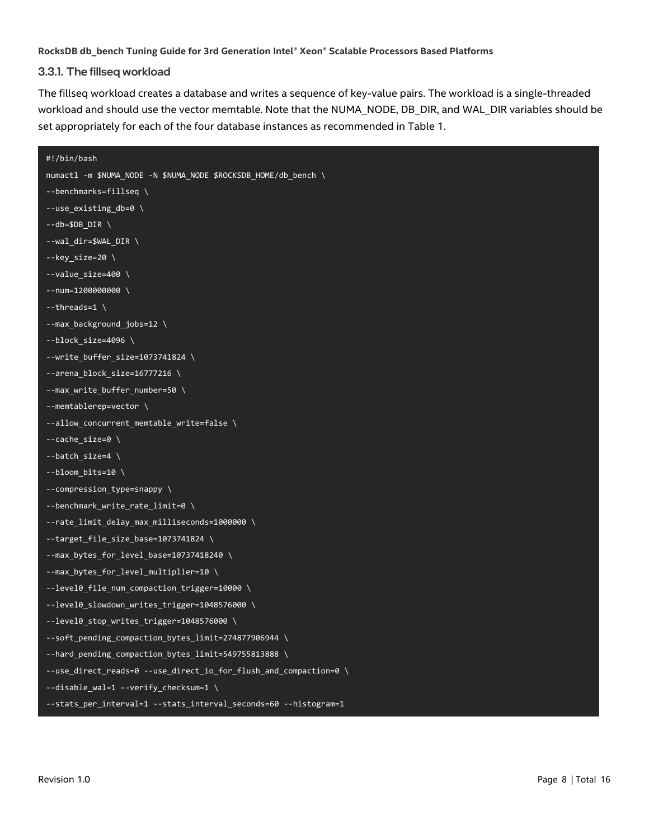#### <span id="page-7-0"></span>3.3.1. The fillseq workload

The fillseq workload creates a database and writes a sequence of key-value pairs. The workload is a single-threaded workload and should use the vector memtable. Note that the NUMA\_NODE, DB\_DIR, and WAL\_DIR variables should be set appropriately for each of the four database instances as recommended in Table 1.

```
#!/bin/bash
numactl -m $NUMA_NODE -N $NUMA_NODE $ROCKSDB_HOME/db_bench \
--benchmarks=fillseq \
--use_existing_db=0 \
--db=$DB DIR \
--wal dir=$WAL DIR \
-key size=20 \
--value_size=400 \
--num=1200000000 \
--threads=1 \
--max_background_jobs=12 \
--block_size=4096 \
--write_buffer_size=1073741824 \
--arena_block_size=16777216 \
--max_write_buffer_number=50 \
--memtablerep=vector \
--allow_concurrent_memtable_write=false \
--cache_size=0 \
--batch_size=4 \
--bloom_bits=10 \
--compression_type=snappy \
--benchmark_write_rate_limit=0 \
--rate_limit_delay_max_milliseconds=1000000 \
--target_file_size_base=1073741824 \
--max_bytes_for_level_base=10737418240 \
--max_bytes_for_level_multiplier=10 \
--level0_file_num_compaction_trigger=10000 \
--level0_slowdown_writes_trigger=1048576000 \
--level0_stop_writes_trigger=1048576000 \
--soft_pending_compaction_bytes_limit=274877906944 \
--hard_pending_compaction_bytes_limit=549755813888 \
--use_direct_reads=0 --use_direct_io_for_flush_and_compaction=0 \
--disable_wal=1 --verify_checksum=1 \
--stats_per_interval=1 --stats_interval_seconds=60 --histogram=1
```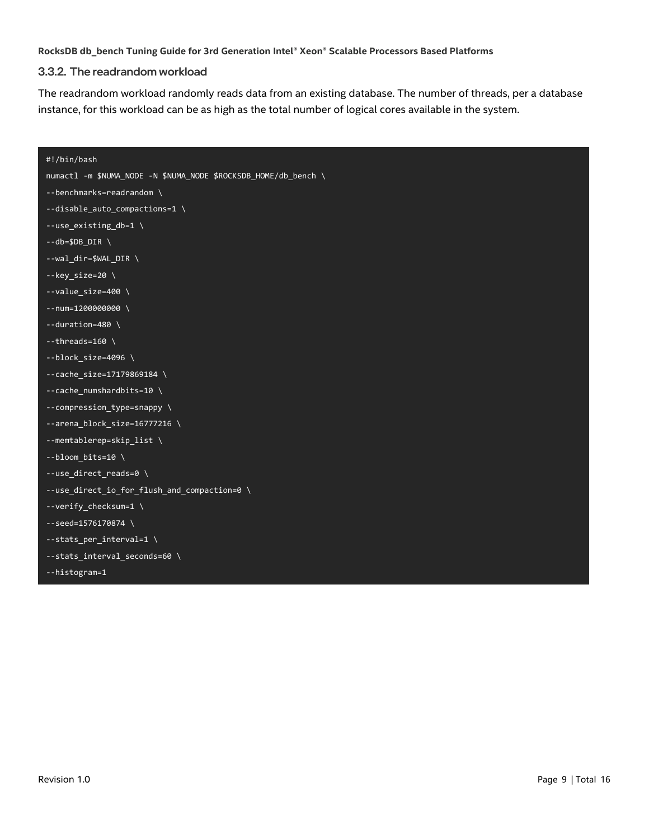#### <span id="page-8-0"></span>3.3.2. The readrandom workload

The readrandom workload randomly reads data from an existing database. The number of threads, per a database instance, for this workload can be as high as the total number of logical cores available in the system.

```
#!/bin/bash
numactl -m $NUMA_NODE -N $NUMA_NODE $ROCKSDB_HOME/db_bench \
--benchmarks=readrandom \
--disable_auto_compactions=1 \
--use_existing_db=1 \
--db=$DB_DIR \
--wal_dir=$WAL_DIR \
--key_size=20 \
--value_size=400 \
-num=1200000000 \
--duration=480 \
--threads=160 \
-block size=4096 \
--cache_size=17179869184 \
--cache_numshardbits=10 \
--compression_type=snappy \
--arena_block_size=16777216 \
--memtablerep=skip_list \
-bloom_bits=10 \
--use_direct_reads=0 \
--use_direct_io_for_flush_and_compaction=0 \
--verify_checksum=1 \
--seed=1576170874 \
--stats_per_interval=1 \
--stats_interval_seconds=60 \
--histogram=1
```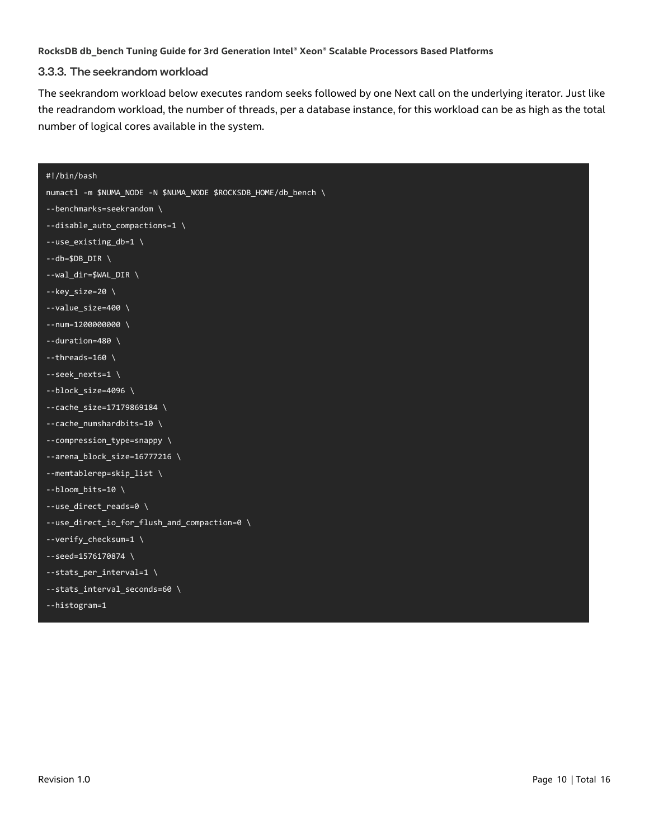#### <span id="page-9-0"></span>3.3.3. The seekrandom workload

The seekrandom workload below executes random seeks followed by one Next call on the underlying iterator. Just like the readrandom workload, the number of threads, per a database instance, for this workload can be as high as the total number of logical cores available in the system.

| #!/bin/bash                                                     |
|-----------------------------------------------------------------|
| numactl -m \$NUMA_NODE -N \$NUMA_NODE \$ROCKSDB_HOME/db_bench \ |
| --benchmarks=seekrandom \                                       |
| --disable_auto_compactions=1 \                                  |
| --use_existing_db=1 \                                           |
| $-db = $DB_DIR \setminus$                                       |
| --wal_dir=\$WAL_DIR \                                           |
| $-$ key_size=20 \                                               |
| $-$ -value_size=400 \                                           |
| $-$ -num=1200000000 \                                           |
| $-$ -duration=480 \                                             |
| $-$ -threads=160 \                                              |
| --seek_nexts=1\                                                 |
| $-$ block_size=4096 \                                           |
| $-$ -cache_size=17179869184 \                                   |
| --cache_numshardbits=10 \                                       |
| --compression_type=snappy \                                     |
| --arena_block_size=16777216 \                                   |
| --memtablerep=skip_list \                                       |
| $-$ -bloom_bits=10 \                                            |
| --use_direct_reads=0 \                                          |
| --use_direct_io_for_flush_and_compaction=0 \                    |
| --verify_checksum=1 \                                           |
| $-$ -seed=1576170874 \                                          |
| --stats_per_interval=1 \                                        |
| --stats_interval_seconds=60 \                                   |
| --histogram=1                                                   |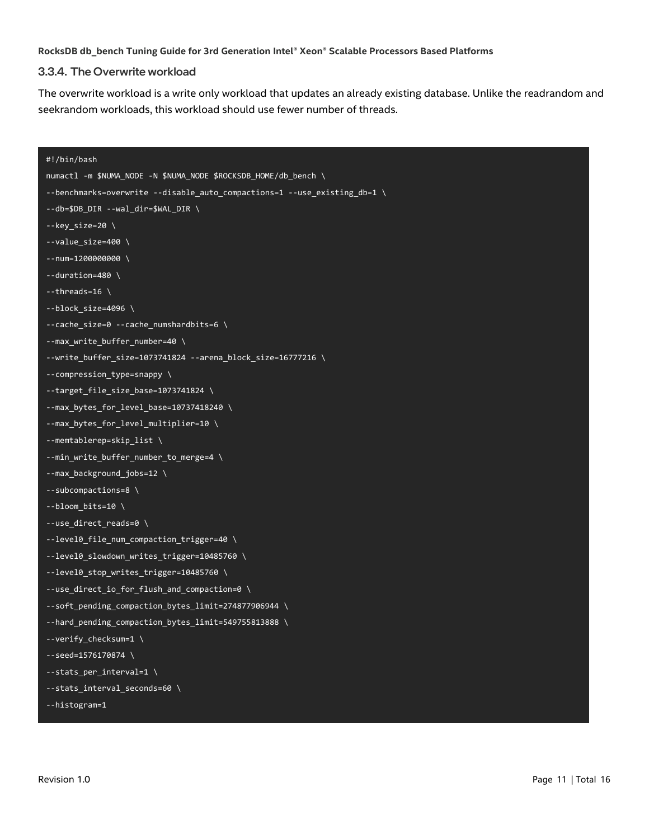#### <span id="page-10-0"></span>3.3.4. The Overwrite workload

The overwrite workload is a write only workload that updates an already existing database. Unlike the readrandom and seekrandom workloads, this workload should use fewer number of threads.

```
#!/bin/bash
numactl -m $NUMA_NODE -N $NUMA_NODE $ROCKSDB_HOME/db_bench \
--benchmarks=overwrite --disable_auto_compactions=1 --use_existing_db=1 \
--db=$DB_DIR --wal_dir=$WAL_DIR \
--key_size=20 \
--value_size=400 \
--num=1200000000 \
--duration=480 \
--threads=16 \
--block_size=4096 \
--cache_size=0 --cache_numshardbits=6 \
--max_write_buffer_number=40 \
--write_buffer_size=1073741824 --arena_block_size=16777216 \
--compression_type=snappy \
--target_file_size_base=1073741824 \
--max_bytes_for_level_base=10737418240 \
--max_bytes_for_level_multiplier=10 \
--memtablerep=skip_list \
--min_write_buffer_number_to_merge=4 \
--max_background_jobs=12 \
--subcompactions=8 \
-bloom bits=10 \
--use_direct_reads=0 \
--level0_file_num_compaction_trigger=40 \
--level0_slowdown_writes_trigger=10485760 \
--level0_stop_writes_trigger=10485760 \
--use_direct_io_for_flush_and_compaction=0 \
--soft_pending_compaction_bytes_limit=274877906944 \
--hard_pending_compaction_bytes_limit=549755813888 \
--verify_checksum=1 \
--seed=1576170874 \
--stats per interval=1 \backslash--stats_interval_seconds=60 \
--histogram=1
```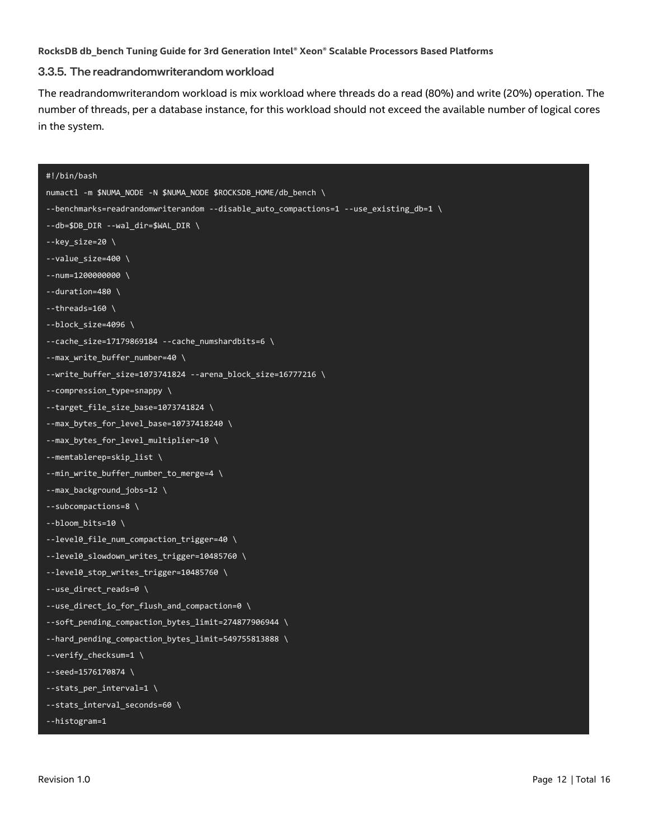#### <span id="page-11-0"></span>3.3.5. The readrandomwriterandom workload

The readrandomwriterandom workload is mix workload where threads do a read (80%) and write (20%) operation. The number of threads, per a database instance, for this workload should not exceed the available number of logical cores in the system.

# #!/bin/bash numactl -m \$NUMA\_NODE -N \$NUMA\_NODE \$ROCKSDB\_HOME/db\_bench \ --benchmarks=readrandomwriterandom --disable\_auto\_compactions=1 --use\_existing\_db=1 \ --db=\$DB\_DIR --wal\_dir=\$WAL\_DIR \ --key\_size=20 \  $-$ -value size=400 \  $-$ -num=1200000000 \ --duration=480 \  $-$ threads=160 \  $-$ block size=4096 \ --cache\_size=17179869184 --cache\_numshardbits=6 \ --max write buffer number=40 \ --write\_buffer\_size=1073741824 --arena\_block\_size=16777216 \ --compression\_type=snappy \ --target\_file\_size\_base=1073741824 \ --max\_bytes\_for\_level\_base=10737418240 \ --max\_bytes\_for\_level\_multiplier=10 \ --memtablerep=skip\_list \ --min\_write\_buffer\_number\_to\_merge=4 \ --max\_background\_jobs=12 \ --subcompactions=8 \  $-$ bloom bits=10 \ --level0\_file\_num\_compaction\_trigger=40 \ --level0\_slowdown\_writes\_trigger=10485760 \ --level0\_stop\_writes\_trigger=10485760 \ --use\_direct\_reads=0 \ --use\_direct\_io\_for\_flush\_and\_compaction=0 \ --soft\_pending\_compaction\_bytes\_limit=274877906944 \ --hard\_pending\_compaction\_bytes\_limit=549755813888 \ --verify\_checksum=1 \ --seed=1576170874 \ --stats\_per\_interval=1 \ --stats\_interval\_seconds=60 \ --histogram=1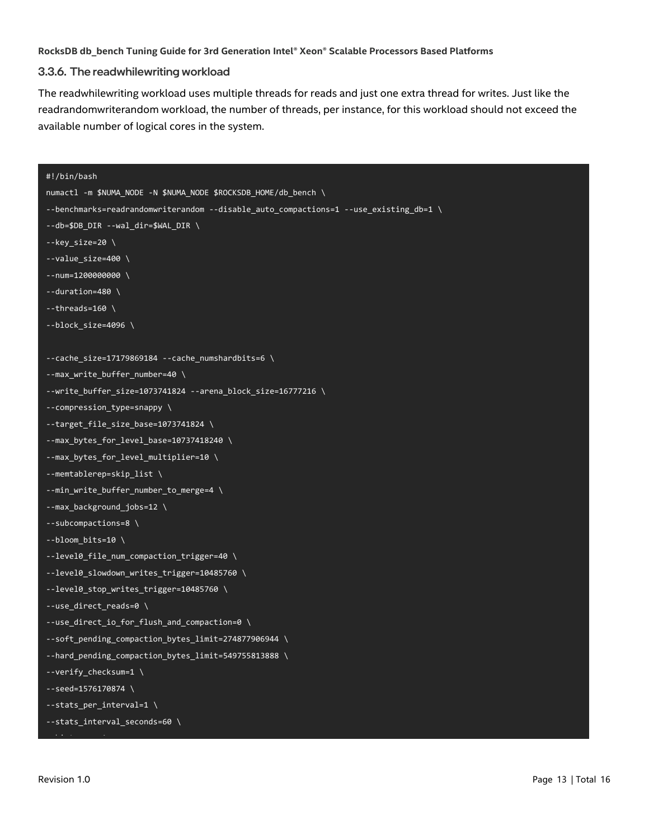#### <span id="page-12-0"></span>3.3.6. The readwhilewriting workload

The readwhilewriting workload uses multiple threads for reads and just one extra thread for writes. Just like the readrandomwriterandom workload, the number of threads, per instance, for this workload should not exceed the available number of logical cores in the system.

```
#!/bin/bash
numactl -m $NUMA_NODE -N $NUMA_NODE $ROCKSDB_HOME/db_bench \
--benchmarks=readrandomwriterandom --disable_auto_compactions=1 --use_existing_db=1 \
--db=$DB_DIR --wal_dir=$WAL_DIR \
--key_size=20 \
--value size=400 \
--num=1200000000 \
--duration=480 \
--threads=160 \
--block_size=4096 \
--cache_size=17179869184 --cache_numshardbits=6 \
--max write buffer number=40 \
--write_buffer_size=1073741824 --arena_block_size=16777216 \
--compression_type=snappy \
--target_file_size_base=1073741824 \
--max_bytes_for_level_base=10737418240 \
--max_bytes_for_level_multiplier=10 \
--memtablerep=skip_list \
--min_write_buffer_number_to_merge=4 \
--max_background_jobs=12 \
--subcompactions=8 \
--bloom bits=10 \
--level0_file_num_compaction_trigger=40 \
--level0_slowdown_writes_trigger=10485760 \
--level0_stop_writes_trigger=10485760 \
--use_direct_reads=0 \
--use_direct_io_for_flush_and_compaction=0 \
--soft_pending_compaction_bytes_limit=274877906944 \
--hard_pending_compaction_bytes_limit=549755813888 \
--verify_checksum=1 \
--seed=1576170874 \
--stats_per_interval=1 \
--stats_interval_seconds=60 \
```
--histogram=1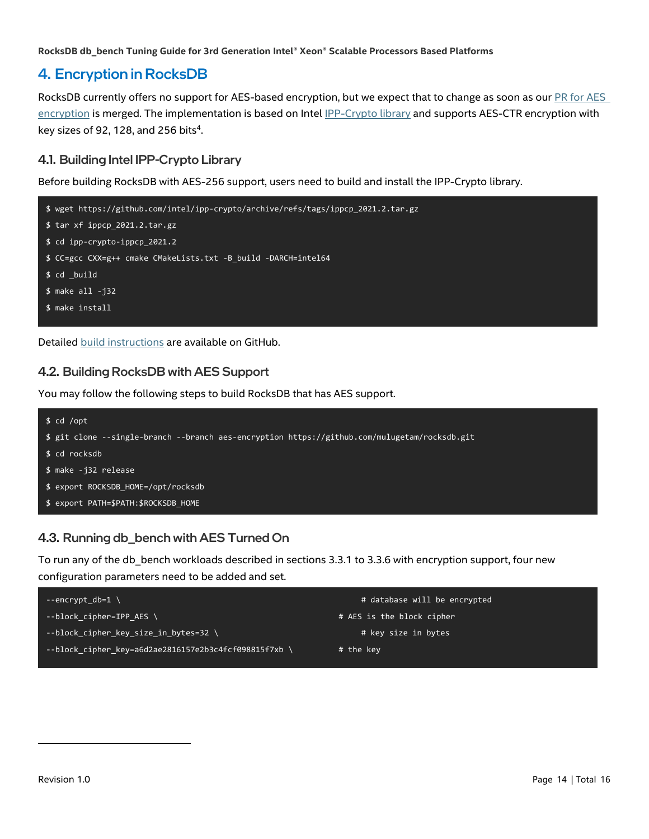# <span id="page-13-0"></span>4. Encryption in RocksDB

RocksDB currently offers no support for AES-based encryption, but we expect that to change as soon as our **PR** for AES [encryption](https://github.com/facebook/rocksdb/pull/7240) is merged. The implementation is based on Inte[l IPP-Crypto library](https://github.com/intel/ipp-crypto) and supports AES-CTR encryption with key sizes of 92, 128, and 256 bits $4$ .

# <span id="page-13-1"></span>4.1. Building Intel IPP-Crypto Library

Before building RocksDB with AES-256 support, users need to build and install the IPP-Crypto library.



Detailed [build instructions](https://github.com/intel/ipp-crypto/blob/develop/BUILD.md) are available on GitHub.

# <span id="page-13-2"></span>4.2. Building RocksDB with AES Support

You may follow the following steps to build RocksDB that has AES support.



# <span id="page-13-3"></span>4.3. Running db\_bench with AES Turned On

To run any of the db bench workloads described in sections 3.3.1 to 3.3.6 with encryption support, four new configuration parameters need to be added and set.

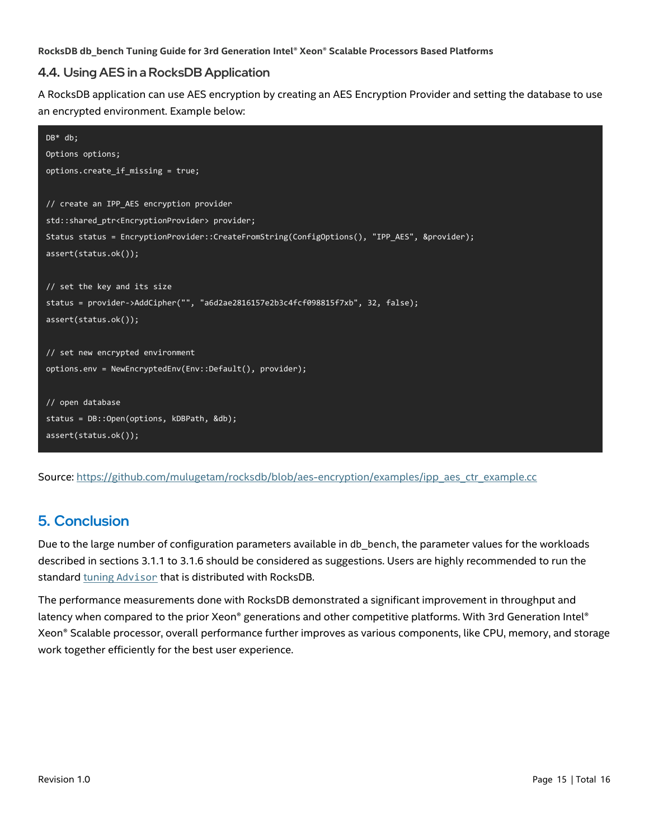### <span id="page-14-0"></span>4.4. Using AES in a RocksDB Application

A RocksDB application can use AES encryption by creating an AES Encryption Provider and setting the database to use an encrypted environment. Example below:

```
DB* db;
Options options;
options.create_if_missing = true;
// create an IPP_AES encryption provider
std::shared_ptr<EncryptionProvider> provider;
Status status = EncryptionProvider::CreateFromString(ConfigOptions(), "IPP_AES", &provider);
assert(status.ok());
// set the key and its size
status = provider->AddCipher("", "a6d2ae2816157e2b3c4fcf098815f7xb", 32, false);
assert(status.ok());
// set new encrypted environment
options.env = NewEncryptedEnv(Env::Default(), provider);
// open database
status = DB::Open(options, kDBPath, &db);
assert(status.ok());
```
<span id="page-14-1"></span>Source: [https://github.com/mulugetam/rocksdb/blob/aes-encryption/examples/ipp\\_aes\\_ctr\\_example.cc](https://github.com/mulugetam/rocksdb/blob/aes-encryption/examples/ipp_aes_ctr_example.cc)

# 5. Conclusion

Due to the large number of configuration parameters available in db bench, the parameter values for the workloads described in sections 3.1.1 to 3.1.6 should be considered as suggestions. Users are highly recommended to run the standar[d tuning](https://rocksdb.org/blog/2018/08/01/rocksdb-tuning-advisor.html) Ad[visor](https://rocksdb.org/blog/2018/08/01/rocksdb-tuning-advisor.html) that is distributed with RocksDB.

The performance measurements done with RocksDB demonstrated a significant improvement in throughput and latency when compared to the prior Xeon® generations and other competitive platforms. With 3rd Generation Intel® Xeon® Scalable processor, overall performance further improves as various components, like CPU, memory, and storage work together efficiently for the best user experience.